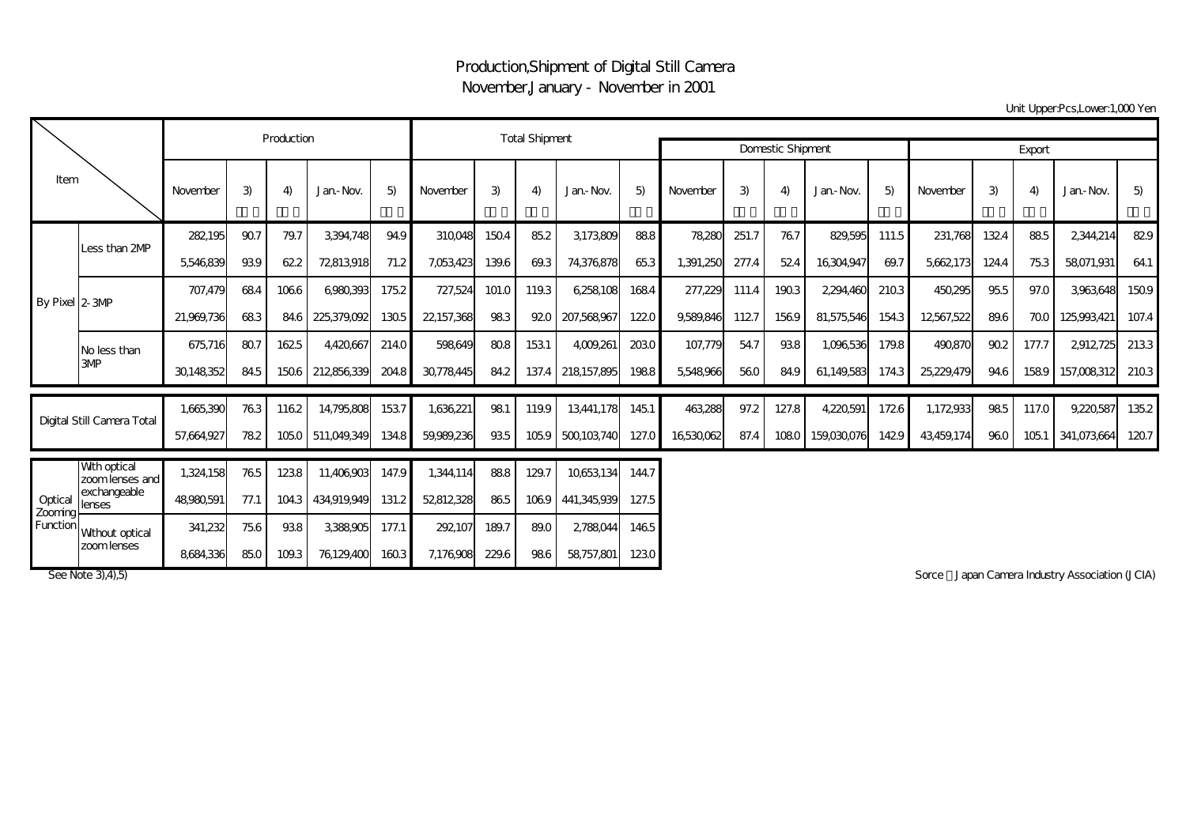## Production,Shipment of Digital Still Camera November,January - November in 2001

Unit Upper:Pcs,Lower:1,000 Yen

| Item                           |                                  |            | Production    |                                    |                     | <b>Total Shipment</b> |                  |         |        |                          |        |           |       |       |             |       |            |       |       |             |       |
|--------------------------------|----------------------------------|------------|---------------|------------------------------------|---------------------|-----------------------|------------------|---------|--------|--------------------------|--------|-----------|-------|-------|-------------|-------|------------|-------|-------|-------------|-------|
|                                |                                  |            |               |                                    |                     |                       |                  |         |        | <b>Domestic Shipment</b> | Export |           |       |       |             |       |            |       |       |             |       |
|                                |                                  | November   | 3)            | 4)                                 | Jan.-Nov.           | 5)                    | November         | 3)      | 4      | Jan-Nov.                 | 5)     | November  | 3)    | 4)    | Jan-Nov.    | 5)    | November   | 3)    | 4)    | Jan-Nov.    | 5)    |
| By Pixel 2-3MP                 |                                  | 282195     | 907           | 79.7                               | 3,394,748           | 94.9                  | 310,048          | 1504    | 85.2   | 3,173,809                | 888    | 78.280    | 251.7 | 767   | 829,595     | 111.5 | 231,768    | 1324  | 885   | 2,344,214   | 829   |
|                                | Less than 2MP                    | 5546839    | 939           | 622                                | 72813,918           | 71.2                  | 7,053,423        | 139.6   | 69.3   | 74,376,878               | 653    | 1,391,250 | 277.4 | 524   | 16,304,947  | 69.7  | 5,662,173  | 124.4 | 753   | 58071,931   | 64.1  |
|                                |                                  | 707,479    | 684           | 1066                               | 6980,393            | 175.2                 | 727,524          | 101.0   | 119.3  | 6,258,108                | 1684   | 277,229   | 111.4 | 1903  | 2,294,460   | 2103  | 450,295    | 955   | 97.0  | 3,963,648   | 1509  |
|                                |                                  | 21,969,736 | 683           | 84.6                               | 225,379,092         | 1305                  | 22,157,368       | 983     | 920    | 207,568,967              | 1220   | 9,589,846 | 1127  | 1569  | 81,575,546  | 154.3 | 12567,522  | 89.6  | 700   | 125,993,421 | 107.4 |
|                                | No less than                     | 675,716    | 807           | 1625                               | 4,420,667           | 214.0                 | 598,649          | 808     | 1531   | 4,009,261                | 2030   | 107,779   | 54.7  | 938   | 1,096,536   | 179.8 | 490,870    | 90.2  | 177.7 | 2912725     | 2133  |
|                                | 3MP                              | 30148352   | 84.5          | 1506                               | 212856339           | 204.8                 | 30,778,445       | 84.2    | 137.4  | 218157,895               | 1988   | 5,548,966 | 560   | 84.9  | 61,149,583  | 174.3 | 25,229,479 | 94.6  | 1589  | 157,008,312 | 2103  |
| Digital Still Camera Total     |                                  | 1,665,390  | 763           | 1162                               | 14,795,808          | 1537                  | 1,636,221        | 981     | 119.9  | 13,441,178               | 1451   | 463.288   | 97.2  | 127.8 | 4,220,591   | 1726  | 1,172,933  | 985   | 117.0 | 9,220,587   | 135.2 |
|                                |                                  | 57,664,927 | 782           | 1050                               | 511,049,349         | 134.8                 | 59,989,236       | 935     | 1059   | 500103740                | 127.0  | 16530062  | 87.4  | 1080  | 159,030,076 | 1429  | 43,459,174 | 960   | 1051  | 341,073,664 | 1207  |
| Optical<br>Zooming<br>Function | Wth optical<br>zoom lenses and l | 1,324,158  | 765           | 1238                               | 11,406,903          | 147.9                 | 1,344,114        | 888     | 129.7  | 10653,134                | 144.7  |           |       |       |             |       |            |       |       |             |       |
|                                | exchangeable<br>lenses           | 48,980,591 | 77.1          | 104.3                              | 434,919,949         | 131.2                 | 52812328         | 865     | 1069   | 441,345,939              | 127.5  |           |       |       |             |       |            |       |       |             |       |
|                                | Wthout optical                   | 341,232    | 756           | 938                                | 3.388.905           | 177.1                 | 292107           | 189.7   | 89.0   | 2,788,044                | 1465   |           |       |       |             |       |            |       |       |             |       |
|                                | zoom lenses                      | $-1$       | $\sim$ $\sim$ | $\sim$ $\sim$ $\sim$ $\sim$ $\sim$ | $-1$ $-2$ $-2$ $-2$ |                       | $-1 - 1 - 2 - 1$ | $- - -$ | $\sim$ | $-2 - -2$                |        |           |       |       |             |       |            |       |       |             |       |

8684,336 85.0 109.3 76129,400 160.3 7,176,908 229.6 98.6 58,757,801 123.0

See Note 3), 4), 5) Sorce Japan Camera Industry Association (JCIA)